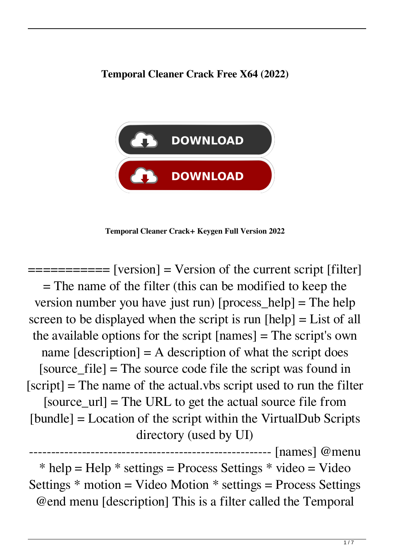## **Temporal Cleaner Crack Free X64 (2022)**



**Temporal Cleaner Crack+ Keygen Full Version 2022**

 $=$  $=$  $=$  $=$  $=$  $=$  $=$  $[version]$   $=$   $Version of the current script [filter]$ = The name of the filter (this can be modified to keep the version number you have just run) [process\_help] = The help screen to be displayed when the script is run [help] = List of all the available options for the script [names] = The script's own name  $[description] = A description of what the script does$ [source\_file] = The source code file the script was found in  $[script]$  = The name of the actual.vbs script used to run the filter [source  $url$ ] = The URL to get the actual source file from [bundle] = Location of the script within the VirtualDub Scripts directory (used by UI)

------------------------------------------------------- [names] @menu  $*$  help = Help  $*$  settings = Process Settings  $*$  video = Video Settings  $*$  motion = Video Motion  $*$  settings = Process Settings @end menu [description] This is a filter called the Temporal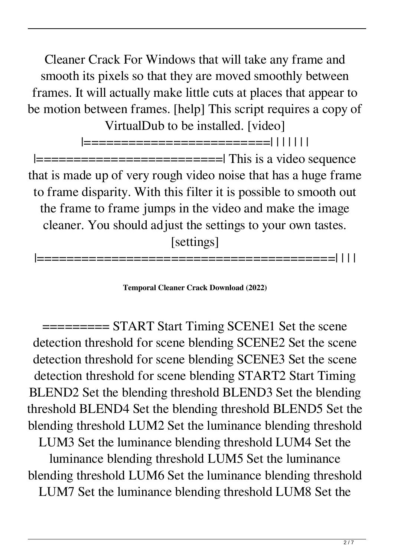Cleaner Crack For Windows that will take any frame and smooth its pixels so that they are moved smoothly between frames. It will actually make little cuts at places that appear to be motion between frames. [help] This script requires a copy of VirtualDub to be installed. [video]

|=========================| | | | | | |  $|$ ==============================| This is a video sequence that is made up of very rough video noise that has a huge frame to frame disparity. With this filter it is possible to smooth out the frame to frame jumps in the video and make the image cleaner. You should adjust the settings to your own tastes. [settings]

=============

**Temporal Cleaner Crack Download (2022)**

========= START Start Timing SCENE1 Set the scene detection threshold for scene blending SCENE2 Set the scene detection threshold for scene blending SCENE3 Set the scene detection threshold for scene blending START2 Start Timing BLEND2 Set the blending threshold BLEND3 Set the blending threshold BLEND4 Set the blending threshold BLEND5 Set the blending threshold LUM2 Set the luminance blending threshold LUM3 Set the luminance blending threshold LUM4 Set the luminance blending threshold LUM5 Set the luminance blending threshold LUM6 Set the luminance blending threshold LUM7 Set the luminance blending threshold LUM8 Set the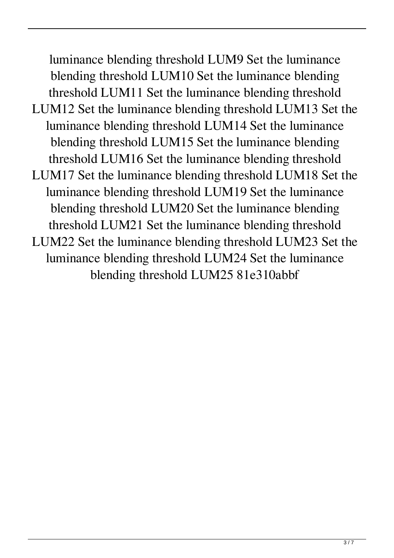luminance blending threshold LUM9 Set the luminance blending threshold LUM10 Set the luminance blending threshold LUM11 Set the luminance blending threshold LUM12 Set the luminance blending threshold LUM13 Set the luminance blending threshold LUM14 Set the luminance blending threshold LUM15 Set the luminance blending threshold LUM16 Set the luminance blending threshold LUM17 Set the luminance blending threshold LUM18 Set the luminance blending threshold LUM19 Set the luminance blending threshold LUM20 Set the luminance blending threshold LUM21 Set the luminance blending threshold LUM22 Set the luminance blending threshold LUM23 Set the luminance blending threshold LUM24 Set the luminance blending threshold LUM25 81e310abbf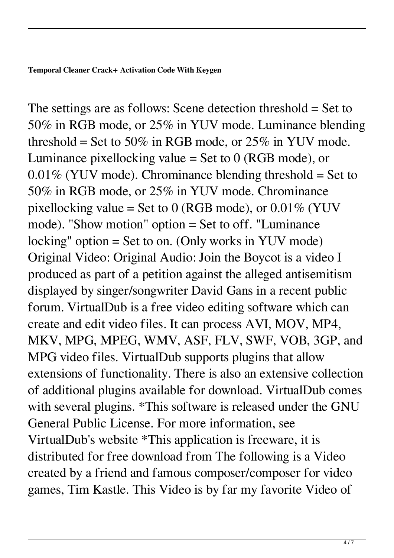The settings are as follows: Scene detection threshold = Set to 50% in RGB mode, or 25% in YUV mode. Luminance blending threshold = Set to 50% in RGB mode, or 25% in YUV mode. Luminance pixellocking value  $=$  Set to 0 (RGB mode), or  $0.01\%$  (YUV mode). Chrominance blending threshold = Set to 50% in RGB mode, or 25% in YUV mode. Chrominance pixellocking value = Set to 0 (RGB mode), or  $0.01\%$  (YUV mode). "Show motion" option = Set to off. "Luminance locking" option = Set to on. (Only works in YUV mode) Original Video: Original Audio: Join the Boycot is a video I produced as part of a petition against the alleged antisemitism displayed by singer/songwriter David Gans in a recent public forum. VirtualDub is a free video editing software which can create and edit video files. It can process AVI, MOV, MP4, MKV, MPG, MPEG, WMV, ASF, FLV, SWF, VOB, 3GP, and MPG video files. VirtualDub supports plugins that allow extensions of functionality. There is also an extensive collection of additional plugins available for download. VirtualDub comes with several plugins. \*This software is released under the GNU General Public License. For more information, see VirtualDub's website \*This application is freeware, it is distributed for free download from The following is a Video created by a friend and famous composer/composer for video games, Tim Kastle. This Video is by far my favorite Video of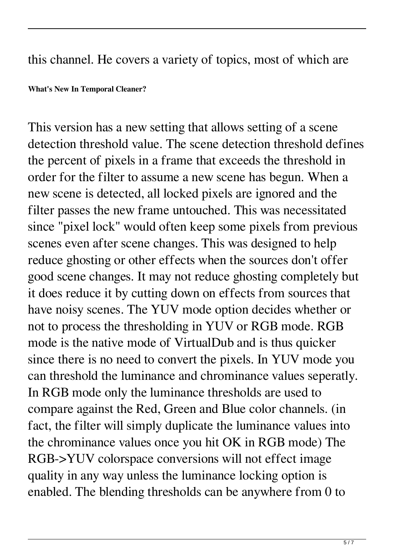## this channel. He covers a variety of topics, most of which are

**What's New In Temporal Cleaner?**

This version has a new setting that allows setting of a scene detection threshold value. The scene detection threshold defines the percent of pixels in a frame that exceeds the threshold in order for the filter to assume a new scene has begun. When a new scene is detected, all locked pixels are ignored and the filter passes the new frame untouched. This was necessitated since "pixel lock" would often keep some pixels from previous scenes even after scene changes. This was designed to help reduce ghosting or other effects when the sources don't offer good scene changes. It may not reduce ghosting completely but it does reduce it by cutting down on effects from sources that have noisy scenes. The YUV mode option decides whether or not to process the thresholding in YUV or RGB mode. RGB mode is the native mode of VirtualDub and is thus quicker since there is no need to convert the pixels. In YUV mode you can threshold the luminance and chrominance values seperatly. In RGB mode only the luminance thresholds are used to compare against the Red, Green and Blue color channels. (in fact, the filter will simply duplicate the luminance values into the chrominance values once you hit OK in RGB mode) The RGB->YUV colorspace conversions will not effect image quality in any way unless the luminance locking option is enabled. The blending thresholds can be anywhere from 0 to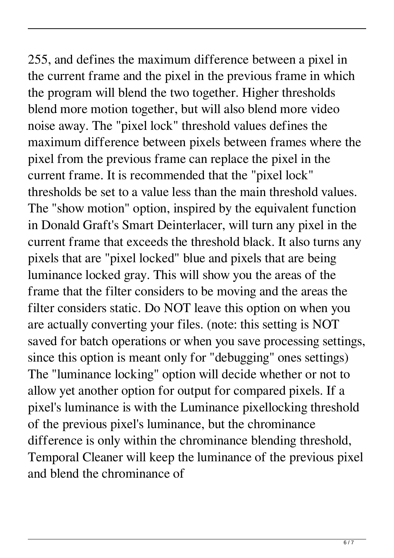255, and defines the maximum difference between a pixel in the current frame and the pixel in the previous frame in which the program will blend the two together. Higher thresholds blend more motion together, but will also blend more video noise away. The "pixel lock" threshold values defines the maximum difference between pixels between frames where the pixel from the previous frame can replace the pixel in the current frame. It is recommended that the "pixel lock" thresholds be set to a value less than the main threshold values. The "show motion" option, inspired by the equivalent function in Donald Graft's Smart Deinterlacer, will turn any pixel in the current frame that exceeds the threshold black. It also turns any pixels that are "pixel locked" blue and pixels that are being luminance locked gray. This will show you the areas of the frame that the filter considers to be moving and the areas the filter considers static. Do NOT leave this option on when you are actually converting your files. (note: this setting is NOT saved for batch operations or when you save processing settings, since this option is meant only for "debugging" ones settings) The "luminance locking" option will decide whether or not to allow yet another option for output for compared pixels. If a pixel's luminance is with the Luminance pixellocking threshold of the previous pixel's luminance, but the chrominance difference is only within the chrominance blending threshold, Temporal Cleaner will keep the luminance of the previous pixel and blend the chrominance of